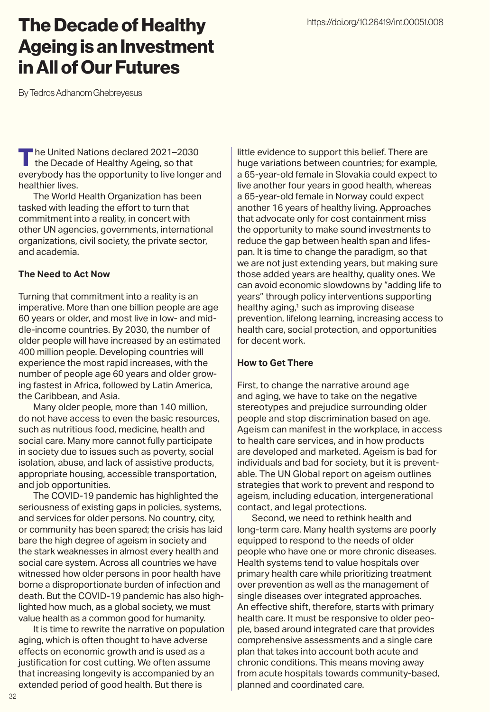## The Decade of Healthy Ageing is an Investment in All of Our Futures

By Tedros Adhanom Ghebreyesus

The United Nations declared 2021-2030 the Decade of Healthy Ageing, so that everybody has the opportunity to live longer and healthier lives.

The World Health Organization has been tasked with leading the effort to turn that commitment into a reality, in concert with other UN agencies, governments, international organizations, civil society, the private sector, and academia.

#### **The Need to Act Now**

Turning that commitment into a reality is an imperative. More than one billion people are age 60 years or older, and most live in low- and middle-income countries. By 2030, the number of older people will have increased by an estimated 400 million people. Developing countries will experience the most rapid increases, with the number of people age 60 years and older growing fastest in Africa, followed by Latin America, the Caribbean, and Asia.

Many older people, more than 140 million, do not have access to even the basic resources, such as nutritious food, medicine, health and social care. Many more cannot fully participate in society due to issues such as poverty, social isolation, abuse, and lack of assistive products, appropriate housing, accessible transportation, and job opportunities.

The COVID-19 pandemic has highlighted the seriousness of existing gaps in policies, systems, and services for older persons. No country, city, or community has been spared; the crisis has laid bare the high degree of ageism in society and the stark weaknesses in almost every health and social care system. Across all countries we have witnessed how older persons in poor health have borne a disproportionate burden of infection and death. But the COVID-19 pandemic has also highlighted how much, as a global society, we must value health as a common good for humanity.

It is time to rewrite the narrative on population aging, which is often thought to have adverse effects on economic growth and is used as a justification for cost cutting. We often assume that increasing longevity is accompanied by an extended period of good health. But there is

little evidence to support this belief. There are huge variations between countries; for example, a 65-year-old female in Slovakia could expect to live another four years in good health, whereas a 65-year-old female in Norway could expect another 16 years of healthy living. Approaches that advocate only for cost containment miss the opportunity to make sound investments to reduce the gap between health span and lifespan. It is time to change the paradigm, so that we are not just extending years, but making sure those added years are healthy, quality ones. We can avoid economic slowdowns by "adding life to years" through policy interventions supporting healthy aging,<sup>1</sup> such as improving disease prevention, lifelong learning, increasing access to health care, social protection, and opportunities for decent work.

### **How to Get There**

First, to change the narrative around age and aging, we have to take on the negative stereotypes and prejudice surrounding older people and stop discrimination based on age. Ageism can manifest in the workplace, in access to health care services, and in how products are developed and marketed. Ageism is bad for individuals and bad for society, but it is preventable. The UN Global report on ageism outlines strategies that work to prevent and respond to ageism, including education, intergenerational contact, and legal protections.

Second, we need to rethink health and long-term care. Many health systems are poorly equipped to respond to the needs of older people who have one or more chronic diseases. Health systems tend to value hospitals over primary health care while prioritizing treatment over prevention as well as the management of single diseases over integrated approaches. An effective shift, therefore, starts with primary health care. It must be responsive to older people, based around integrated care that provides comprehensive assessments and a single care plan that takes into account both acute and chronic conditions. This means moving away from acute hospitals towards community-based, planned and coordinated care.